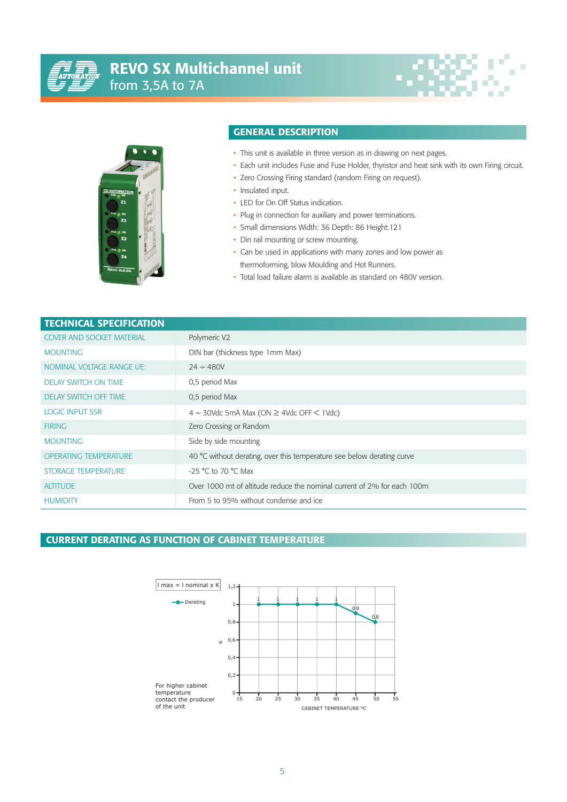# REVO SX Multichannel unit from 3,5A to 7A





### GENERAL DESCRIPTION

- This unit is available in three version as in drawing on next pages.
- Each unit includes Fuse and Fuse Holder, thyristor and heat sink with its own Firing circuit.
- Zero Crossing Firing standard (random Firing on request).
- Insulated input.
- LED for On Off Status indication.
- Plug in connection for auxiliary and power terminations.
- Small dimensions Width: 36 Depth: 86 Height:121
- Din rail mounting or screw mounting.
- Can be used in applications with many zones and low power as thermoforming, blow Moulding and Hot Runners.
- Total load failure alarm is available as standard on 480V version.

| <b>TECHNICAL SPECIFICATION</b>   |                                                                         |
|----------------------------------|-------------------------------------------------------------------------|
| <b>COVER AND SOCKET MATERIAL</b> | Polymeric V2                                                            |
| <b>MOUNTING</b>                  | DIN bar (thickness type 1mm Max)                                        |
| <b>NOMINAL VOLTAGE RANGE UE:</b> | $24 \div 480V$                                                          |
| <b>DELAY SWITCH ON TIME</b>      | 0,5 period Max                                                          |
| <b>DELAY SWITCH OFF TIME</b>     | 0,5 period Max                                                          |
| <b>LOGIC INPUT SSR</b>           | $4 \div 30$ Vdc 5mA Max (ON $\geq 4$ Vdc OFF $\lt 1$ Vdc)               |
| <b>FIRING</b>                    | Zero Crossing or Random                                                 |
| <b>MOUNTING</b>                  | Side by side mounting                                                   |
| <b>OPERATING TEMPERATURE</b>     | 40 °C without derating, over this temperature see below derating curve  |
| STORAGE TEMPERATURE              | -25 °C to 70 °C Max                                                     |
| <b>ALTITUDE</b>                  | Over 1000 mt of altitude reduce the nominal current of 2% for each 100m |
| <b>HUMIDITY</b>                  | From 5 to 95% without condense and ice                                  |

### CURRENT DERATING AS FUNCTION OF CABINET TEMPERATURE

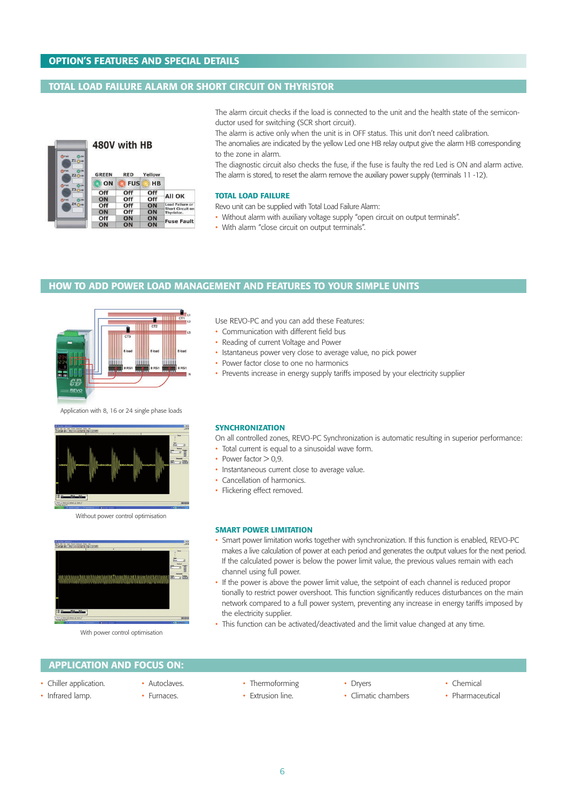### TOTAL LOAD FAILURE ALARM OR SHORT CIRCUIT ON THYRISTOR



The alarm circuit checks if the load is connected to the unit and the health state of the semiconductor used for switching (SCR short circuit).

The alarm is active only when the unit is in OFF status. This unit don't need calibration.

The anomalies are indicated by the yellow Led one HB relay output give the alarm HB corresponding to the zone in alarm.

The diagnostic circuit also checks the fuse, if the fuse is faulty the red Led is ON and alarm active. The alarm is stored, to reset the alarm remove the auxiliary power supply (terminals 11 -12).

#### TOTAL LOAD FAILURE

Revo unit can be supplied with Total Load Failure Alarm:

- Without alarm with auxiliary voltage supply "open circuit on output terminals".
- With alarm "close circuit on output terminals".

### HOW TO ADD POWER LOAD MANAGEMENT AND FEATURES TO YOUR SIMPLE UNITS



Application with 8, 16 or 24 single phase loads



Without power control optimisation



With power control optimisation

Use REVO-PC and you can add these Features:

- Communication with different field bus
- Reading of current Voltage and Power
- Istantaneus power very close to average value, no pick power
- Power factor close to one no harmonics
- Prevents increase in energy supply tariffs imposed by your electricity supplier

### **SYNCHRONIZATION**

On all controlled zones, REVO-PC Synchronization is automatic resulting in superior performance:

- Total current is equal to a sinusoidal wave form.
	- Power factor  $> 0.9$ .
- Instantaneous current close to average value.
- Cancellation of harmonics.
- Flickering effect removed.

#### SMART POWER LIMITATION

- Smart power limitation works together with synchronization. If this function is enabled, REVO-PC makes a live calculation of power at each period and generates the output values for the next period. If the calculated power is below the power limit value, the previous values remain with each channel using full power.
- If the power is above the power limit value, the setpoint of each channel is reduced propor tionally to restrict power overshoot. This function significantly reduces disturbances on the main network compared to a full power system, preventing any increase in energy tariffs imposed by the electricity supplier.
- This function can be activated/deactivated and the limit value changed at any time.

### APPLICATION AND FOCUS ON:

- Chiller application.
- 
- Thermoforming
- Dryers
- Chemical
- Infrared lamp.
- Furnaces.
- 

- 
- Autoclaves.
- Extrusion line.
- Climatic chambers
- Pharmaceutical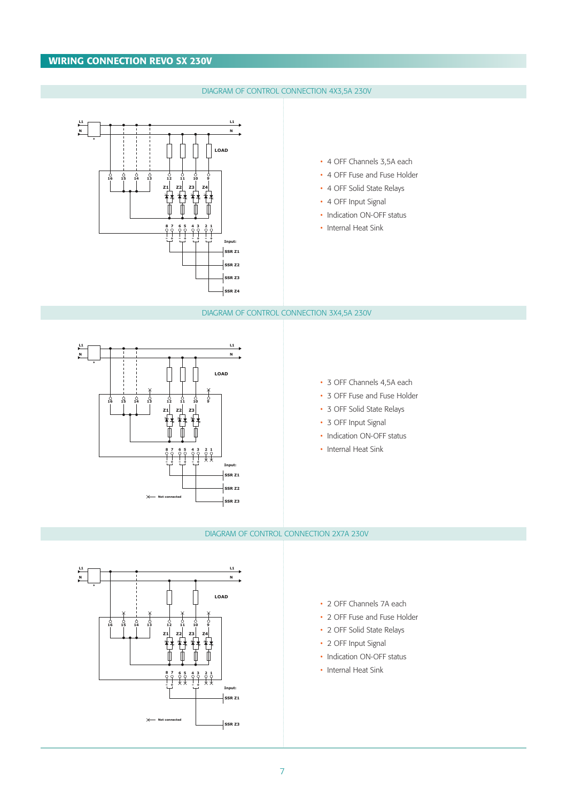### WIRING CONNECTION REVO SX 230V

### DIAGRAM OF CONTROL CONNECTION 4X3,5A 230V



DIAGRAM OF CONTROL CONNECTION 3X4,5A 230V



### • 3 OFF Channels 4,5A each

- 3 OFF Fuse and Fuse Holder
- 3 OFF Solid State Relays
- 3 OFF Input Signal
- Indication ON-OFF status
- Internal Heat Sink

### DIAGRAM OF CONTROL CONNECTION 2X7A 230V



- 2 OFF Channels 7A each
- 2 OFF Fuse and Fuse Holder
- 2 OFF Solid State Relays
- 2 OFF Input Signal
- Indication ON-OFF status
- Internal Heat Sink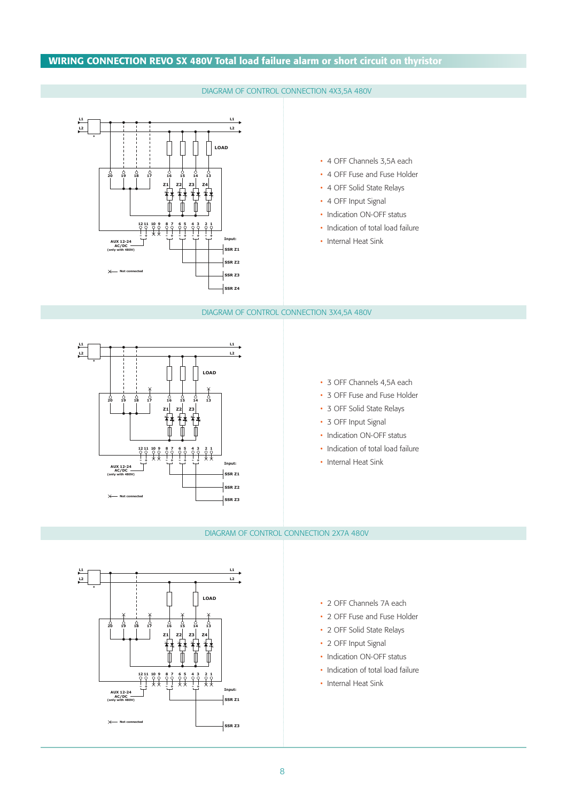### WIRING CONNECTION REVO SX 480V Total load failure alarm or short circuit on thyristor

### DIAGRAM OF CONTROL CONNECTION 4X3,5A 480V



### • 4 OFF Channels 3,5A each

- 4 OFF Fuse and Fuse Holder
- 4 OFF Solid State Relays
- 4 OFF Input Signal
- Indication ON-OFF status
- Indication of total load failure
- Internal Heat Sink

### DIAGRAM OF CONTROL CONNECTION 3X4,5A 480V



- 3 OFF Channels 4,5A each
- 3 OFF Fuse and Fuse Holder
- 3 OFF Solid State Relays
- 3 OFF Input Signal
- Indication ON-OFF status
- Indication of total load failure
- Internal Heat Sink

### DIAGRAM OF CONTROL CONNECTION 2X7A 480V



- 2 OFF Channels 7A each
- 2 OFF Fuse and Fuse Holder
- 2 OFF Solid State Relays
- 2 OFF Input Signal
- Indication ON-OFF status
- Indication of total load failure
- Internal Heat Sink